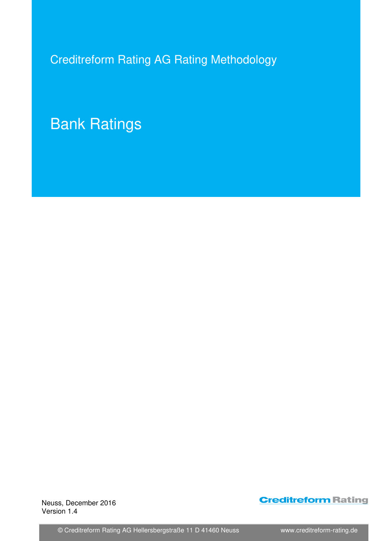Creditreform Rating AG Rating Methodology

# Bank Ratings

 Neuss, December 2016 Version 1.4

## **Creditreform Rating**

© Creditreform Rating AG Hellersbergstraße 11 D 41460 Neuss www.creditreform-rating.de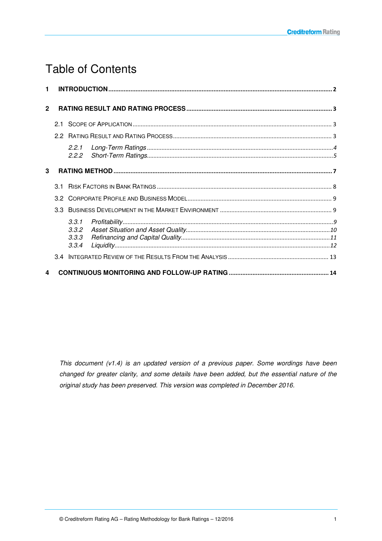## Table of Contents

| $\blacksquare$ |  |                                  |  |  |  |  |
|----------------|--|----------------------------------|--|--|--|--|
| $\overline{2}$ |  |                                  |  |  |  |  |
|                |  |                                  |  |  |  |  |
|                |  |                                  |  |  |  |  |
|                |  | 2.2.1<br>2.2.2                   |  |  |  |  |
| 3              |  |                                  |  |  |  |  |
|                |  |                                  |  |  |  |  |
|                |  |                                  |  |  |  |  |
|                |  |                                  |  |  |  |  |
|                |  | 3.3.1<br>3.3.2<br>3.3.3<br>3.3.4 |  |  |  |  |
|                |  |                                  |  |  |  |  |
| 4              |  |                                  |  |  |  |  |

This document (v1.4) is an updated version of a previous paper. Some wordings have been changed for greater clarity, and some details have been added, but the essential nature of the original study has been preserved. This version was completed in December 2016.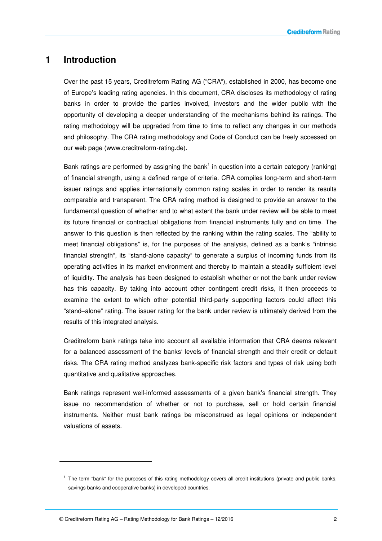## **1 Introduction**

Over the past 15 years, Creditreform Rating AG ("CRA"), established in 2000, has become one of Europe's leading rating agencies. In this document, CRA discloses its methodology of rating banks in order to provide the parties involved, investors and the wider public with the opportunity of developing a deeper understanding of the mechanisms behind its ratings. The rating methodology will be upgraded from time to time to reflect any changes in our methods and philosophy. The CRA rating methodology and Code of Conduct can be freely accessed on our web page (www.creditreform-rating.de).

Bank ratings are performed by assigning the bank<sup>1</sup> in question into a certain category (ranking) of financial strength, using a defined range of criteria. CRA compiles long-term and short-term issuer ratings and applies internationally common rating scales in order to render its results comparable and transparent. The CRA rating method is designed to provide an answer to the fundamental question of whether and to what extent the bank under review will be able to meet its future financial or contractual obligations from financial instruments fully and on time. The answer to this question is then reflected by the ranking within the rating scales. The "ability to meet financial obligations" is, for the purposes of the analysis, defined as a bank's "intrinsic financial strength", its "stand-alone capacity" to generate a surplus of incoming funds from its operating activities in its market environment and thereby to maintain a steadily sufficient level of liquidity. The analysis has been designed to establish whether or not the bank under review has this capacity. By taking into account other contingent credit risks, it then proceeds to examine the extent to which other potential third-party supporting factors could affect this "stand–alone" rating. The issuer rating for the bank under review is ultimately derived from the results of this integrated analysis.

Creditreform bank ratings take into account all available information that CRA deems relevant for a balanced assessment of the banks' levels of financial strength and their credit or default risks. The CRA rating method analyzes bank-specific risk factors and types of risk using both quantitative and qualitative approaches.

Bank ratings represent well-informed assessments of a given bank's financial strength. They issue no recommendation of whether or not to purchase, sell or hold certain financial instruments. Neither must bank ratings be misconstrued as legal opinions or independent valuations of assets.

-

<sup>1</sup> The term "bank" for the purposes of this rating methodology covers all credit institutions (private and public banks, savings banks and cooperative banks) in developed countries.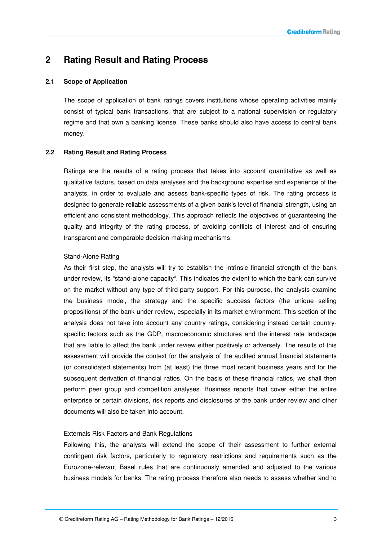### **2 Rating Result and Rating Process**

#### **2.1 Scope of Application**

The scope of application of bank ratings covers institutions whose operating activities mainly consist of typical bank transactions, that are subject to a national supervision or regulatory regime and that own a banking license. These banks should also have access to central bank money.

#### **2.2 Rating Result and Rating Process**

Ratings are the results of a rating process that takes into account quantitative as well as qualitative factors, based on data analyses and the background expertise and experience of the analysts, in order to evaluate and assess bank-specific types of risk. The rating process is designed to generate reliable assessments of a given bank's level of financial strength, using an efficient and consistent methodology. This approach reflects the objectives of guaranteeing the quality and integrity of the rating process, of avoiding conflicts of interest and of ensuring transparent and comparable decision-making mechanisms.

#### Stand-Alone Rating

As their first step, the analysts will try to establish the intrinsic financial strength of the bank under review, its "stand-alone capacity". This indicates the extent to which the bank can survive on the market without any type of third-party support. For this purpose, the analysts examine the business model, the strategy and the specific success factors (the unique selling propositions) of the bank under review, especially in its market environment. This section of the analysis does not take into account any country ratings, considering instead certain countryspecific factors such as the GDP, macroeconomic structures and the interest rate landscape that are liable to affect the bank under review either positively or adversely. The results of this assessment will provide the context for the analysis of the audited annual financial statements (or consolidated statements) from (at least) the three most recent business years and for the subsequent derivation of financial ratios. On the basis of these financial ratios, we shall then perform peer group and competition analyses. Business reports that cover either the entire enterprise or certain divisions, risk reports and disclosures of the bank under review and other documents will also be taken into account.

#### Externals Risk Factors and Bank Regulations

Following this, the analysts will extend the scope of their assessment to further external contingent risk factors, particularly to regulatory restrictions and requirements such as the Eurozone-relevant Basel rules that are continuously amended and adjusted to the various business models for banks. The rating process therefore also needs to assess whether and to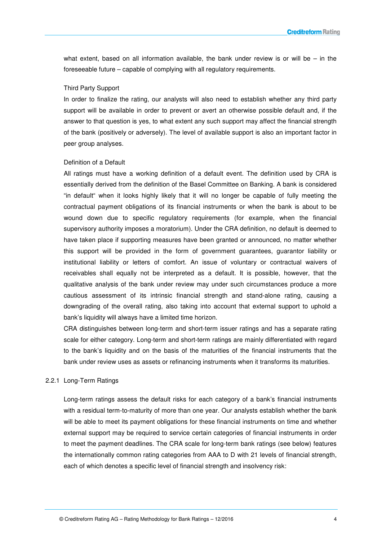what extent, based on all information available, the bank under review is or will be  $-$  in the foreseeable future – capable of complying with all regulatory requirements.

#### Third Party Support

In order to finalize the rating, our analysts will also need to establish whether any third party support will be available in order to prevent or avert an otherwise possible default and, if the answer to that question is yes, to what extent any such support may affect the financial strength of the bank (positively or adversely). The level of available support is also an important factor in peer group analyses.

#### Definition of a Default

All ratings must have a working definition of a default event. The definition used by CRA is essentially derived from the definition of the Basel Committee on Banking. A bank is considered "in default" when it looks highly likely that it will no longer be capable of fully meeting the contractual payment obligations of its financial instruments or when the bank is about to be wound down due to specific regulatory requirements (for example, when the financial supervisory authority imposes a moratorium). Under the CRA definition, no default is deemed to have taken place if supporting measures have been granted or announced, no matter whether this support will be provided in the form of government guarantees, guarantor liability or institutional liability or letters of comfort. An issue of voluntary or contractual waivers of receivables shall equally not be interpreted as a default. It is possible, however, that the qualitative analysis of the bank under review may under such circumstances produce a more cautious assessment of its intrinsic financial strength and stand-alone rating, causing a downgrading of the overall rating, also taking into account that external support to uphold a bank's liquidity will always have a limited time horizon.

CRA distinguishes between long-term and short-term issuer ratings and has a separate rating scale for either category. Long-term and short-term ratings are mainly differentiated with regard to the bank's liquidity and on the basis of the maturities of the financial instruments that the bank under review uses as assets or refinancing instruments when it transforms its maturities.

#### 2.2.1 Long-Term Ratings

Long-term ratings assess the default risks for each category of a bank's financial instruments with a residual term-to-maturity of more than one year. Our analysts establish whether the bank will be able to meet its payment obligations for these financial instruments on time and whether external support may be required to service certain categories of financial instruments in order to meet the payment deadlines. The CRA scale for long-term bank ratings (see below) features the internationally common rating categories from AAA to D with 21 levels of financial strength, each of which denotes a specific level of financial strength and insolvency risk: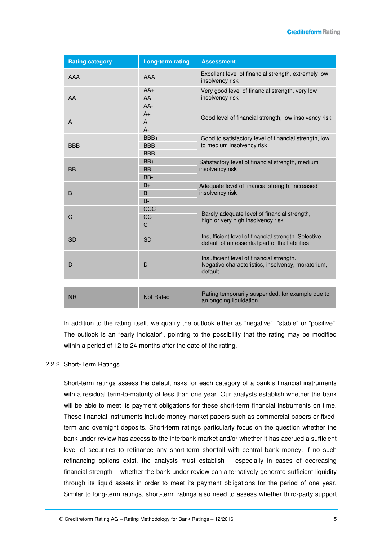| <b>Rating category</b> | <b>Long-term rating</b>       | <b>Assessment</b>                                                                                          |  |
|------------------------|-------------------------------|------------------------------------------------------------------------------------------------------------|--|
| AAA                    | AAA                           | Excellent level of financial strength, extremely low<br>insolvency risk                                    |  |
| AA                     | $AA+$<br>AA<br>$AA-$          | Very good level of financial strength, very low<br>insolvency risk                                         |  |
| A                      | $A+$<br>$\mathsf{A}$<br>$A -$ | Good level of financial strength, low insolvency risk                                                      |  |
| <b>BBB</b>             | BBB+<br><b>BBB</b><br>BBB-    | Good to satisfactory level of financial strength, low<br>to medium insolvency risk                         |  |
| <b>BB</b>              | $BB+$<br><b>BB</b><br>BB-     | Satisfactory level of financial strength, medium<br>insolvency risk                                        |  |
| B                      | $B+$<br>B<br>$B -$            | Adequate level of financial strength, increased<br>insolvency risk                                         |  |
| C                      | CCC<br>CC<br>$\mathsf{C}$     | Barely adequate level of financial strength,<br>high or very high insolvency risk                          |  |
| <b>SD</b>              | <b>SD</b>                     | Insufficient level of financial strength. Selective<br>default of an essential part of the liabilities     |  |
| D                      | D                             | Insufficient level of financial strength.<br>Negative characteristics, insolvency, moratorium,<br>default. |  |
| <b>NR</b>              | <b>Not Rated</b>              | Rating temporarily suspended, for example due to<br>an ongoing liquidation                                 |  |

In addition to the rating itself, we qualify the outlook either as "negative", "stable" or "positive". The outlook is an "early indicator", pointing to the possibility that the rating may be modified within a period of 12 to 24 months after the date of the rating.

#### 2.2.2 Short-Term Ratings

Short-term ratings assess the default risks for each category of a bank's financial instruments with a residual term-to-maturity of less than one year. Our analysts establish whether the bank will be able to meet its payment obligations for these short-term financial instruments on time. These financial instruments include money-market papers such as commercial papers or fixedterm and overnight deposits. Short-term ratings particularly focus on the question whether the bank under review has access to the interbank market and/or whether it has accrued a sufficient level of securities to refinance any short-term shortfall with central bank money. If no such refinancing options exist, the analysts must establish – especially in cases of decreasing financial strength – whether the bank under review can alternatively generate sufficient liquidity through its liquid assets in order to meet its payment obligations for the period of one year. Similar to long-term ratings, short-term ratings also need to assess whether third-party support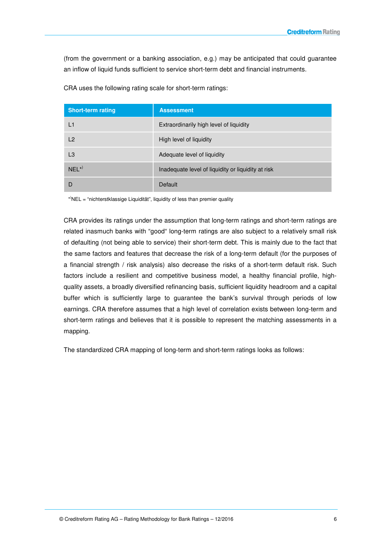(from the government or a banking association, e.g.) may be anticipated that could guarantee an inflow of liquid funds sufficient to service short-term debt and financial instruments.

| <b>Short-term rating</b> | <b>Assessment</b>                                  |  |
|--------------------------|----------------------------------------------------|--|
| L1                       | Extraordinarily high level of liquidity            |  |
| L2                       | High level of liquidity                            |  |
| L <sub>3</sub>           | Adequate level of liquidity                        |  |
| $NFI$ <sup>*)</sup>      | Inadequate level of liquidity or liquidity at risk |  |
|                          | Default                                            |  |

CRA uses the following rating scale for short-term ratings:

\* )NEL = "nichterstklassige Liquidität", liquidity of less than premier quality

CRA provides its ratings under the assumption that long-term ratings and short-term ratings are related inasmuch banks with "good" long-term ratings are also subject to a relatively small risk of defaulting (not being able to service) their short-term debt. This is mainly due to the fact that the same factors and features that decrease the risk of a long-term default (for the purposes of a financial strength / risk analysis) also decrease the risks of a short-term default risk. Such factors include a resilient and competitive business model, a healthy financial profile, highquality assets, a broadly diversified refinancing basis, sufficient liquidity headroom and a capital buffer which is sufficiently large to guarantee the bank's survival through periods of low earnings. CRA therefore assumes that a high level of correlation exists between long-term and short-term ratings and believes that it is possible to represent the matching assessments in a mapping.

The standardized CRA mapping of long-term and short-term ratings looks as follows: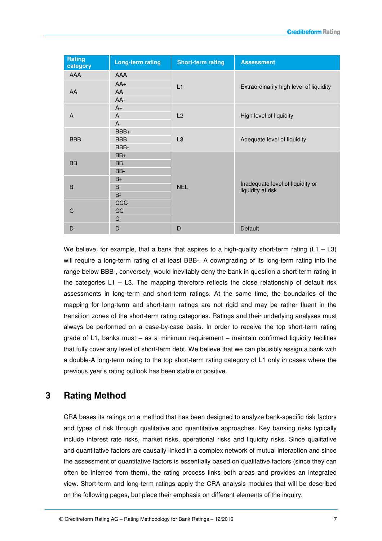| Rating<br>category | <b>Long-term rating</b> | <b>Short-term rating</b> | <b>Assessment</b>                                     |  |
|--------------------|-------------------------|--------------------------|-------------------------------------------------------|--|
| AAA                | <b>AAA</b>              |                          |                                                       |  |
|                    | $AA+$                   | L1                       | Extraordinarily high level of liquidity               |  |
| AA                 | AA                      |                          |                                                       |  |
|                    | $AA-$                   |                          |                                                       |  |
|                    | $A+$                    | L2                       | High level of liquidity                               |  |
| A                  | A                       |                          |                                                       |  |
|                    | $A -$                   |                          |                                                       |  |
|                    | BBB+                    | L <sub>3</sub>           | Adequate level of liquidity                           |  |
| <b>BBB</b>         | <b>BBB</b>              |                          |                                                       |  |
|                    | BBB-                    |                          |                                                       |  |
|                    | $BB+$                   |                          | Inadequate level of liquidity or<br>liquidity at risk |  |
| <b>BB</b>          | <b>BB</b>               |                          |                                                       |  |
|                    | BB-                     |                          |                                                       |  |
|                    | $B+$                    |                          |                                                       |  |
| B                  | B                       | <b>NEL</b>               |                                                       |  |
|                    | $B-$                    |                          |                                                       |  |
|                    | CCC                     |                          |                                                       |  |
| C                  | CC                      |                          |                                                       |  |
|                    | $\mathbf C$             |                          |                                                       |  |
| D                  | D                       | D                        | Default                                               |  |

We believe, for example, that a bank that aspires to a high-quality short-term rating  $(L1 - L3)$ will require a long-term rating of at least BBB-. A downgrading of its long-term rating into the range below BBB-, conversely, would inevitably deny the bank in question a short-term rating in the categories  $L1 - L3$ . The mapping therefore reflects the close relationship of default risk assessments in long-term and short-term ratings. At the same time, the boundaries of the mapping for long-term and short-term ratings are not rigid and may be rather fluent in the transition zones of the short-term rating categories. Ratings and their underlying analyses must always be performed on a case-by-case basis. In order to receive the top short-term rating grade of L1, banks must  $-$  as a minimum requirement  $-$  maintain confirmed liquidity facilities that fully cover any level of short-term debt. We believe that we can plausibly assign a bank with a double-A long-term rating to the top short-term rating category of L1 only in cases where the previous year's rating outlook has been stable or positive.

## **3 Rating Method**

CRA bases its ratings on a method that has been designed to analyze bank-specific risk factors and types of risk through qualitative and quantitative approaches. Key banking risks typically include interest rate risks, market risks, operational risks and liquidity risks. Since qualitative and quantitative factors are causally linked in a complex network of mutual interaction and since the assessment of quantitative factors is essentially based on qualitative factors (since they can often be inferred from them), the rating process links both areas and provides an integrated view. Short-term and long-term ratings apply the CRA analysis modules that will be described on the following pages, but place their emphasis on different elements of the inquiry.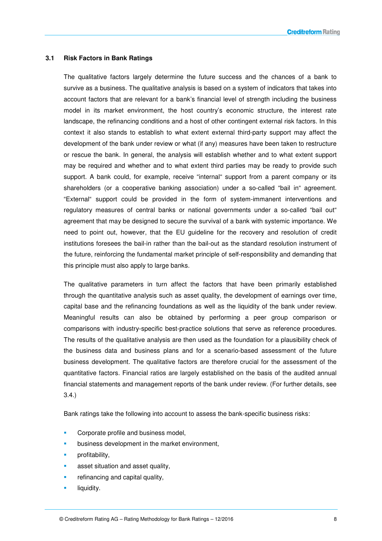#### **3.1 Risk Factors in Bank Ratings**

The qualitative factors largely determine the future success and the chances of a bank to survive as a business. The qualitative analysis is based on a system of indicators that takes into account factors that are relevant for a bank's financial level of strength including the business model in its market environment, the host country's economic structure, the interest rate landscape, the refinancing conditions and a host of other contingent external risk factors. In this context it also stands to establish to what extent external third-party support may affect the development of the bank under review or what (if any) measures have been taken to restructure or rescue the bank. In general, the analysis will establish whether and to what extent support may be required and whether and to what extent third parties may be ready to provide such support. A bank could, for example, receive "internal" support from a parent company or its shareholders (or a cooperative banking association) under a so-called "bail in" agreement. "External" support could be provided in the form of system-immanent interventions and regulatory measures of central banks or national governments under a so-called "bail out" agreement that may be designed to secure the survival of a bank with systemic importance. We need to point out, however, that the EU guideline for the recovery and resolution of credit institutions foresees the bail-in rather than the bail-out as the standard resolution instrument of the future, reinforcing the fundamental market principle of self-responsibility and demanding that this principle must also apply to large banks.

The qualitative parameters in turn affect the factors that have been primarily established through the quantitative analysis such as asset quality, the development of earnings over time, capital base and the refinancing foundations as well as the liquidity of the bank under review. Meaningful results can also be obtained by performing a peer group comparison or comparisons with industry-specific best-practice solutions that serve as reference procedures. The results of the qualitative analysis are then used as the foundation for a plausibility check of the business data and business plans and for a scenario-based assessment of the future business development. The qualitative factors are therefore crucial for the assessment of the quantitative factors. Financial ratios are largely established on the basis of the audited annual financial statements and management reports of the bank under review. (For further details, see 3.4.)

Bank ratings take the following into account to assess the bank-specific business risks:

- Corporate profile and business model,
- business development in the market environment,
- profitability,
- asset situation and asset quality,
- refinancing and capital quality,
- liquidity.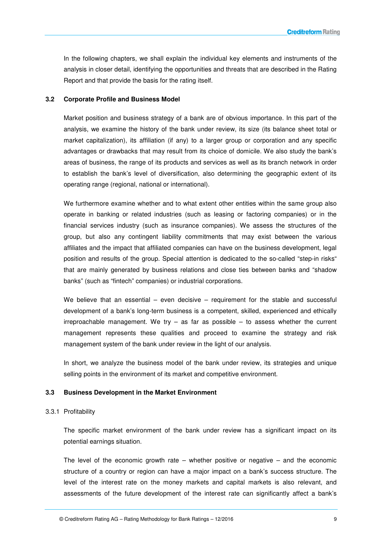In the following chapters, we shall explain the individual key elements and instruments of the analysis in closer detail, identifying the opportunities and threats that are described in the Rating Report and that provide the basis for the rating itself.

#### **3.2 Corporate Profile and Business Model**

Market position and business strategy of a bank are of obvious importance. In this part of the analysis, we examine the history of the bank under review, its size (its balance sheet total or market capitalization), its affiliation (if any) to a larger group or corporation and any specific advantages or drawbacks that may result from its choice of domicile. We also study the bank's areas of business, the range of its products and services as well as its branch network in order to establish the bank's level of diversification, also determining the geographic extent of its operating range (regional, national or international).

We furthermore examine whether and to what extent other entities within the same group also operate in banking or related industries (such as leasing or factoring companies) or in the financial services industry (such as insurance companies). We assess the structures of the group, but also any contingent liability commitments that may exist between the various affiliates and the impact that affiliated companies can have on the business development, legal position and results of the group. Special attention is dedicated to the so-called "step-in risks" that are mainly generated by business relations and close ties between banks and "shadow banks" (such as "fintech" companies) or industrial corporations.

We believe that an essential – even decisive – requirement for the stable and successful development of a bank's long-term business is a competent, skilled, experienced and ethically irreproachable management. We try  $-$  as far as possible  $-$  to assess whether the current management represents these qualities and proceed to examine the strategy and risk management system of the bank under review in the light of our analysis.

In short, we analyze the business model of the bank under review, its strategies and unique selling points in the environment of its market and competitive environment.

#### **3.3 Business Development in the Market Environment**

#### 3.3.1 Profitability

The specific market environment of the bank under review has a significant impact on its potential earnings situation.

The level of the economic growth rate  $-$  whether positive or negative  $-$  and the economic structure of a country or region can have a major impact on a bank's success structure. The level of the interest rate on the money markets and capital markets is also relevant, and assessments of the future development of the interest rate can significantly affect a bank's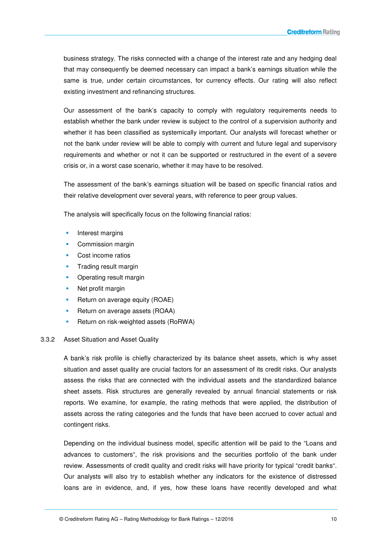business strategy. The risks connected with a change of the interest rate and any hedging deal that may consequently be deemed necessary can impact a bank's earnings situation while the same is true, under certain circumstances, for currency effects. Our rating will also reflect existing investment and refinancing structures.

Our assessment of the bank's capacity to comply with regulatory requirements needs to establish whether the bank under review is subject to the control of a supervision authority and whether it has been classified as systemically important. Our analysts will forecast whether or not the bank under review will be able to comply with current and future legal and supervisory requirements and whether or not it can be supported or restructured in the event of a severe crisis or, in a worst case scenario, whether it may have to be resolved.

The assessment of the bank's earnings situation will be based on specific financial ratios and their relative development over several years, with reference to peer group values.

The analysis will specifically focus on the following financial ratios:

- Interest margins
- **Commission margin**
- Cost income ratios
- Trading result margin
- Operating result margin
- Net profit margin
- **Return on average equity (ROAE)**
- **Return on average assets (ROAA)**
- Return on risk-weighted assets (RoRWA)

#### 3.3.2 Asset Situation and Asset Quality

A bank's risk profile is chiefly characterized by its balance sheet assets, which is why asset situation and asset quality are crucial factors for an assessment of its credit risks. Our analysts assess the risks that are connected with the individual assets and the standardized balance sheet assets. Risk structures are generally revealed by annual financial statements or risk reports. We examine, for example, the rating methods that were applied, the distribution of assets across the rating categories and the funds that have been accrued to cover actual and contingent risks.

Depending on the individual business model, specific attention will be paid to the "Loans and advances to customers", the risk provisions and the securities portfolio of the bank under review. Assessments of credit quality and credit risks will have priority for typical "credit banks". Our analysts will also try to establish whether any indicators for the existence of distressed loans are in evidence, and, if yes, how these loans have recently developed and what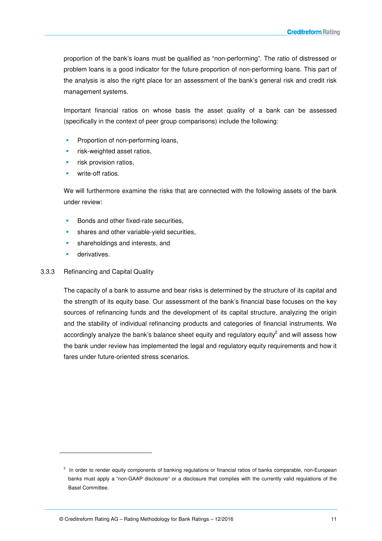proportion of the bank's loans must be qualified as "non-performing". The ratio of distressed or problem loans is a good indicator for the future proportion of non-performing loans. This part of the analysis is also the right place for an assessment of the bank's general risk and credit risk management systems.

Important financial ratios on whose basis the asset quality of a bank can be assessed (specifically in the context of peer group comparisons) include the following:

- Proportion of non-performing loans,
- risk-weighted asset ratios,
- risk provision ratios,
- write-off ratios.

We will furthermore examine the risks that are connected with the following assets of the bank under review:

- Bonds and other fixed-rate securities,
- shares and other variable-yield securities,
- **shareholdings and interests, and**
- derivatives.

 $\overline{a}$ 

#### 3.3.3 Refinancing and Capital Quality

The capacity of a bank to assume and bear risks is determined by the structure of its capital and the strength of its equity base. Our assessment of the bank's financial base focuses on the key sources of refinancing funds and the development of its capital structure, analyzing the origin and the stability of individual refinancing products and categories of financial instruments. We accordingly analyze the bank's balance sheet equity and regulatory equity<sup>2</sup> and will assess how the bank under review has implemented the legal and regulatory equity requirements and how it fares under future-oriented stress scenarios.

 $2$  In order to render equity components of banking regulations or financial ratios of banks comparable, non-European banks must apply a "non-GAAP disclosure" or a disclosure that complies with the currently valid regulations of the Basel Committee.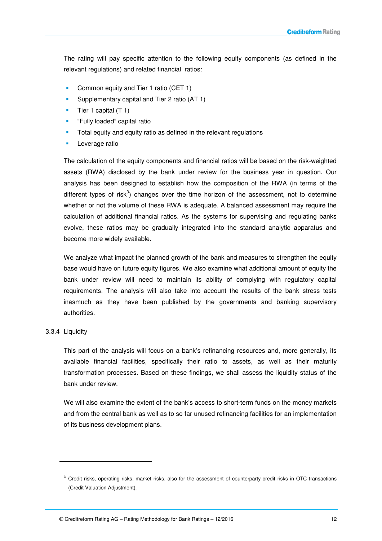The rating will pay specific attention to the following equity components (as defined in the relevant regulations) and related financial ratios:

- Common equity and Tier 1 ratio (CET 1)
- Supplementary capital and Tier 2 ratio (AT 1)
- Tier 1 capital (T 1)
- "Fully loaded" capital ratio
- Total equity and equity ratio as defined in the relevant regulations
- Leverage ratio

The calculation of the equity components and financial ratios will be based on the risk-weighted assets (RWA) disclosed by the bank under review for the business year in question. Our analysis has been designed to establish how the composition of the RWA (in terms of the different types of risk<sup>3</sup>) changes over the time horizon of the assessment, not to determine whether or not the volume of these RWA is adequate. A balanced assessment may require the calculation of additional financial ratios. As the systems for supervising and regulating banks evolve, these ratios may be gradually integrated into the standard analytic apparatus and become more widely available.

We analyze what impact the planned growth of the bank and measures to strengthen the equity base would have on future equity figures. We also examine what additional amount of equity the bank under review will need to maintain its ability of complying with regulatory capital requirements. The analysis will also take into account the results of the bank stress tests inasmuch as they have been published by the governments and banking supervisory authorities.

#### 3.3.4 Liquidity

-

This part of the analysis will focus on a bank's refinancing resources and, more generally, its available financial facilities, specifically their ratio to assets, as well as their maturity transformation processes. Based on these findings, we shall assess the liquidity status of the bank under review.

We will also examine the extent of the bank's access to short-term funds on the money markets and from the central bank as well as to so far unused refinancing facilities for an implementation of its business development plans.

<sup>&</sup>lt;sup>3</sup> Credit risks, operating risks, market risks, also for the assessment of counterparty credit risks in OTC transactions (Credit Valuation Adjustment).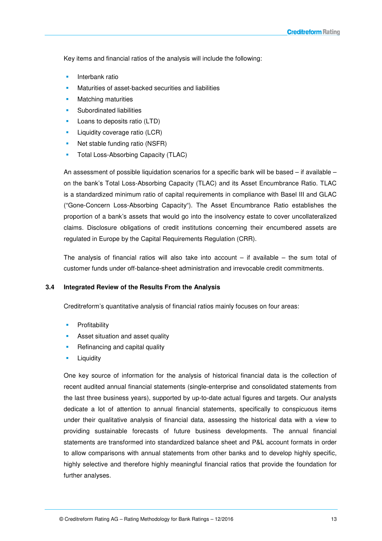Key items and financial ratios of the analysis will include the following:

- Interbank ratio
- Maturities of asset-backed securities and liabilities
- Matching maturities
- Subordinated liabilities
- **Loans to deposits ratio (LTD)**
- **Liquidity coverage ratio (LCR)**
- Net stable funding ratio (NSFR)
- Total Loss-Absorbing Capacity (TLAC)

An assessment of possible liquidation scenarios for a specific bank will be based – if available – on the bank's Total Loss-Absorbing Capacity (TLAC) and its Asset Encumbrance Ratio. TLAC is a standardized minimum ratio of capital requirements in compliance with Basel III and GLAC ("Gone-Concern Loss-Absorbing Capacity"). The Asset Encumbrance Ratio establishes the proportion of a bank's assets that would go into the insolvency estate to cover uncollateralized claims. Disclosure obligations of credit institutions concerning their encumbered assets are regulated in Europe by the Capital Requirements Regulation (CRR).

The analysis of financial ratios will also take into account  $-$  if available  $-$  the sum total of customer funds under off-balance-sheet administration and irrevocable credit commitments.

#### **3.4 Integrated Review of the Results From the Analysis**

Creditreform's quantitative analysis of financial ratios mainly focuses on four areas:

- **Profitability**
- Asset situation and asset quality
- Refinancing and capital quality
- Liquidity

One key source of information for the analysis of historical financial data is the collection of recent audited annual financial statements (single-enterprise and consolidated statements from the last three business years), supported by up-to-date actual figures and targets. Our analysts dedicate a lot of attention to annual financial statements, specifically to conspicuous items under their qualitative analysis of financial data, assessing the historical data with a view to providing sustainable forecasts of future business developments. The annual financial statements are transformed into standardized balance sheet and P&L account formats in order to allow comparisons with annual statements from other banks and to develop highly specific, highly selective and therefore highly meaningful financial ratios that provide the foundation for further analyses.